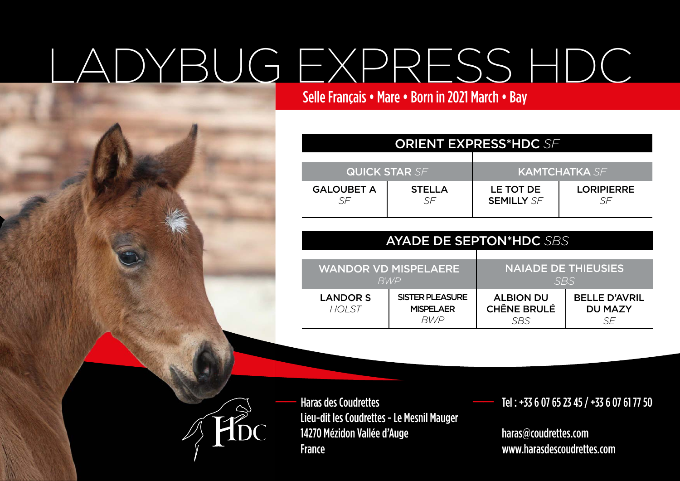## LADYBUG EXPRESS HDC

Selle Français • Mare • Born in 2021 March • Bay

| <b>ORIENT EXPRESS*HDC SF</b> |                     |                                |                         |  |  |
|------------------------------|---------------------|--------------------------------|-------------------------|--|--|
| <b>QUICK STAR SF</b>         |                     | I KAMTCHATKA SEI               |                         |  |  |
| <b>GALOUBET A</b><br>SF      | <b>STELLA</b><br>SF | LE TOT DE<br><b>SEMILLY SF</b> | <b>LORIPIERRE</b><br>SF |  |  |

| <b>AYADE DE SEPTON*HDC SBS</b>             |                                                          |                                               |                                              |  |
|--------------------------------------------|----------------------------------------------------------|-----------------------------------------------|----------------------------------------------|--|
| <b>WANDOR VD MISPELAERE</b><br><b>RV/P</b> |                                                          | <b>NAIADE DE THIEUSIES</b><br><b>SBS</b>      |                                              |  |
| <b>LANDOR S</b><br><b>HOLST</b>            | <b>SISTER PLEASURE</b><br><b>MISPELAER</b><br><b>BWP</b> | <b>ALBION DU</b><br><b>CHÊNE BRULÉ</b><br>SBS | <b>BELLE D'AVRIL</b><br><b>DU MAZY</b><br>SF |  |



Haras des Coudrettes Lieu-dit les Coudrettes - Le Mesnil Mauger 14270 Mézidon Vallée d'Auge France

\_\_ Tel : +33 6 07 65 23 45 / +33 6 07 61 77 50

 haras@coudrettes.com www.harasdescoudrettes.com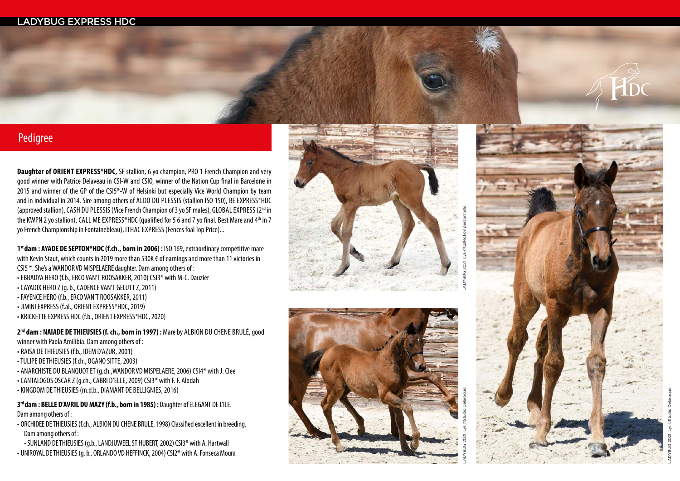## LADYBUG EXPRESS HDC



**Daughter of ORIENT EXPRESS\*HDC,** SF stallion, 6 yo champion, PRO 1 French Champion and very good winner with Patrice Delaveau in CSI-W and CSIO, winner of the Nation Cup final in Barcelone in 2015 and winner of the GP of the CSI5<sup>\*</sup>-W of Helsinki but especially Vice World Champion by team and in individual in 2014. Sire among others of ALDO DU PLESSIS (stallion ISO 150), BE EXPRESS\*HDC (approved stallion), CASH DU PLESSIS (Vice French Champion of 3 yo SF males), GLOBAL EXPRESS (2<sup>nd</sup> in the KWPN 2 yo stallion), CALL ME EXPRESS\*HDC (qualified for 5 6 and 7 yo final. Best Mare and 4<sup>th</sup> in 7 yo French Championship in Fontainebleau), ITHAC EXPRESS (Fences foal Top Price)...

1<sup>st</sup> dam : AYADE DE SEPTON\*HDC (f.ch., born in 2006) : ISO 169, extraordinary competitive mare with Kevin Staut, which counts in 2019 more than 530K € of earnings and more than 11 victories in CSI5 \*. She's a WANDOR VD MISPELAERE daughter. Dam among others of : • EBBADYA HERO (f.b., ERCO VAN'T ROOSAKKER, 2010) CSI3\* with M-C. Dauzier • CAYADIX HERO Z (g. b., CADENCE VAN'T GELUTT Z, 2011) • FAYENCE HERO (f.b., ERCO VAN'T ROOSAKKER, 2011) • JIMINI EXPRESS (f.al., ORIENT EXPRESS\*HDC, 2019)

• KRICKETTE EXPRESS HDC (f.b., ORIENT EXPRESS\*HDC, 2020)

2<sup>nd</sup> dam : NAIADE DE THIEUSIES (f. ch., born in 1997) : Mare by ALBION DU CHENE BRULÉ, good winner with Paola Amilibia. Dam among others of :

- RAISA DE THIEUSIES (f.b., IDEM D'AZUR, 2001)
- TULIPE DE THIEUSIES (f.ch., OGANO SITTE, 2003)
- ANARCHISTE DU BLANQUOT ET (g.ch.,WANDOR VD MISPELAERE, 2006) CSI4\* with J. Clee
- CANTALOGOS OSCAR Z (g.ch., CABRI D'ELLE, 2009) CSI3\* with F. F. Alodah
- KINGDOM DE THIEUSIES (m.d.b., DIAMANT DE BELLIGNIES, 2016)

3<sup>rd</sup> dam : BELLE D'AVRIL DU MAZY (f.b., born in 1985) : Daughter of ELEGANT DE L'ILE. Dam among others of :

• ORCHIDEE DE THIEUSIES (f.ch., ALBION DU CHENE BRULE, 1998) Classified excellent in breeding. Dam among others of :

- SUNLAND DE THIEUSIES (g.b., LANDJUWEEL ST HUBERT, 2002) CSI3\* with A. Hartwall •UNIROYAL DE THIEUSIES (g. b., ORLANDO VD HEFFINCK, 2004) CSI2\* with A. Fonseca Moura